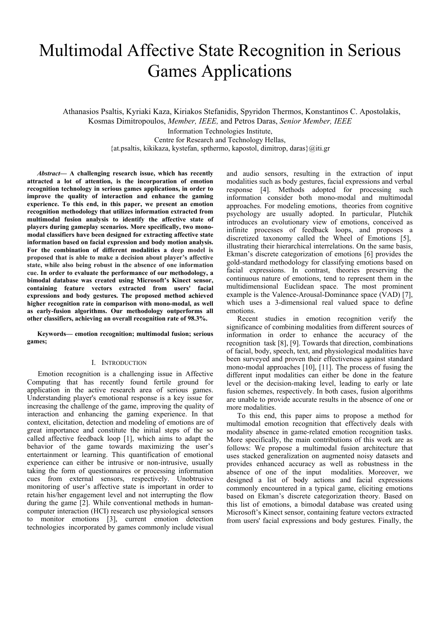# Multimodal Affective State Recognition in Serious Games Applications

Athanasios Psaltis, Kyriaki Kaza, Kiriakos Stefanidis, Spyridon Thermos, Konstantinos C. Apostolakis, Kosmas Dimitropoulos, *Member, IEEE,* and Petros Daras, *Senior Member, IEEE*

Information Technologies Institute, Centre for Research and Technology Hellas, {at.psaltis, kikikaza, kystefan, spthermo, kapostol, dimitrop, daras}@iti.gr

*Abstract***— A challenging research issue, which has recently attracted a lot of attention, is the incorporation of emotion recognition technology in serious games applications, in order to improve the quality of interaction and enhance the gaming experience. To this end, in this paper, we present an emotion recognition methodology that utilizes information extracted from multimodal fusion analysis to identify the affective state of players during gameplay scenarios. More specifically, two monomodal classifiers have been designed for extracting affective state information based on facial expression and body motion analysis. For the combination of different modalities a deep model is proposed that is able to make a decision about player's affective state, while also being robust in the absence of one information cue. In order to evaluate the performance of our methodology, a bimodal database was created using Microsoft's Kinect sensor, containing feature vectors extracted from users' facial expressions and body gestures. The proposed method achieved higher recognition rate in comparison with mono-modal, as well as early-fusion algorithms. Our methodology outperforms all other classifiers, achieving an overall recognition rate of 98.3%.** 

**Keywords— emotion recognition; multimodal fusion; serious games;** 

#### I. INTRODUCTION

Emotion recognition is a challenging issue in Affective Computing that has recently found fertile ground for application in the active research area of serious games. Understanding player's emotional response is a key issue for increasing the challenge of the game, improving the quality of interaction and enhancing the gaming experience. In that context, elicitation, detection and modeling of emotions are of great importance and constitute the initial steps of the so called affective feedback loop [1], which aims to adapt the behavior of the game towards maximizing the user's entertainment or learning. This quantification of emotional experience can either be intrusive or non-intrusive, usually taking the form of questionnaires or processing information cues from external sensors, respectively. Unobtrusive monitoring of user's affective state is important in order to retain his/her engagement level and not interrupting the flow during the game [2]. While conventional methods in humancomputer interaction (HCI) research use physiological sensors to monitor emotions [3], current emotion detection technologies incorporated by games commonly include visual

and audio sensors, resulting in the extraction of input modalities such as body gestures, facial expressions and verbal response [4]. Methods adopted for processing such information consider both mono-modal and multimodal approaches. For modeling emotions, theories from cognitive psychology are usually adopted. In particular, Plutchik introduces an evolutionary view of emotions, conceived as infinite processes of feedback loops, and proposes a discretized taxonomy called the Wheel of Emotions [5], illustrating their hierarchical interrelations. On the same basis, Ekman's discrete categorization of emotions [6] provides the gold-standard methodology for classifying emotions based on facial expressions. In contrast, theories preserving the continuous nature of emotions, tend to represent them in the multidimensional Euclidean space. The most prominent example is the Valence-Arousal-Dominance space (VAD) [7], which uses a 3-dimensional real valued space to define emotions.

Recent studies in emotion recognition verify the significance of combining modalities from different sources of information in order to enhance the accuracy of the recognition task [8], [9]. Towards that direction, combinations of facial, body, speech, text, and physiological modalities have been surveyed and proven their effectiveness against standard mono-modal approaches [10], [11]. The process of fusing the different input modalities can either be done in the feature level or the decision-making level, leading to early or late fusion schemes, respectively. In both cases, fusion algorithms are unable to provide accurate results in the absence of one or more modalities.

To this end, this paper aims to propose a method for multimodal emotion recognition that effectively deals with modality absence in game-related emotion recognition tasks. More specifically, the main contributions of this work are as follows: We propose a multimodal fusion architecture that uses stacked generalization on augmented noisy datasets and provides enhanced accuracy as well as robustness in the absence of one of the input modalities. Moreover, we designed a list of body actions and facial expressions commonly encountered in a typical game, eliciting emotions based on Ekman's discrete categorization theory. Based on this list of emotions, a bimodal database was created using Microsoft's Kinect sensor, containing feature vectors extracted from users' facial expressions and body gestures. Finally, the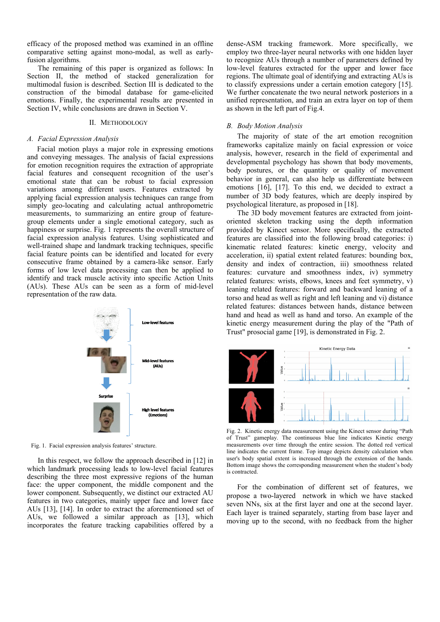efficacy of the proposed method was examined in an offline comparative setting against mono-modal, as well as earlyfusion algorithms.

The remaining of this paper is organized as follows: In Section II, the method of stacked generalization for multimodal fusion is described. Section III is dedicated to the construction of the bimodal database for game-elicited emotions. Finally, the experimental results are presented in Section IV, while conclusions are drawn in Section V.

## II. METHODOLOGY

### *A. Facial Expression Analysis*

Facial motion plays a major role in expressing emotions and conveying messages. The analysis of facial expressions for emotion recognition requires the extraction of appropriate facial features and consequent recognition of the user's emotional state that can be robust to facial expression variations among different users. Features extracted by applying facial expression analysis techniques can range from simply geo-locating and calculating actual anthropometric measurements, to summarizing an entire group of featuregroup elements under a single emotional category, such as happiness or surprise. Fig. 1 represents the overall structure of facial expression analysis features. Using sophisticated and well-trained shape and landmark tracking techniques, specific facial feature points can be identified and located for every consecutive frame obtained by a camera-like sensor. Early forms of low level data processing can then be applied to identify and track muscle activity into specific Action Units (AUs). These AUs can be seen as a form of mid-level representation of the raw data.



Fig. 1. Facial expression analysis features' structure.

 In this respect, we follow the approach described in [12] in which landmark processing leads to low-level facial features describing the three most expressive regions of the human face: the upper component, the middle component and the lower component. Subsequently, we distinct our extracted AU features in two categories, mainly upper face and lower face AUs [13], [14]. In order to extract the aforementioned set of AUs, we followed a similar approach as [13], which incorporates the feature tracking capabilities offered by a

dense-ASM tracking framework. More specifically, we employ two three-layer neural networks with one hidden layer to recognize AUs through a number of parameters defined by low-level features extracted for the upper and lower face regions. The ultimate goal of identifying and extracting AUs is to classify expressions under a certain emotion category [15]. We further concatenate the two neural network posteriors in a unified representation, and train an extra layer on top of them as shown in the left part of Fig.4.

#### *B. Body Motion Analysis*

The majority of state of the art emotion recognition frameworks capitalize mainly on facial expression or voice analysis, however, research in the field of experimental and developmental psychology has shown that body movements, body postures, or the quantity or quality of movement behavior in general, can also help us differentiate between emotions [16], [17]. To this end, we decided to extract a number of 3D body features, which are deeply inspired by psychological literature, as proposed in [18].

The 3D body movement features are extracted from jointoriented skeleton tracking using the depth information provided by Kinect sensor. More specifically, the extracted features are classified into the following broad categories: i) kinematic related features: kinetic energy, velocity and acceleration, ii) spatial extent related features: bounding box, density and index of contraction, iii) smoothness related features: curvature and smoothness index, iv) symmetry related features: wrists, elbows, knees and feet symmetry, v) leaning related features: forward and backward leaning of a torso and head as well as right and left leaning and vi) distance related features: distances between hands, distance between hand and head as well as hand and torso. An example of the kinetic energy measurement during the play of the "Path of Trust" prosocial game [19], is demonstrated in Fig. 2.



Fig. 2. Kinetic energy data measurement using the Kinect sensor during "Path of Trust" gameplay. The continuous blue line indicates Kinetic energy measurements over time through the entire session. The dotted red vertical line indicates the current frame. Top image depicts density calculation when user's body spatial extent is increased through the extension of the hands. Bottom image shows the corresponding measurement when the student's body is contracted.

For the combination of different set of features, we propose a two-layered network in which we have stacked seven NNs, six at the first layer and one at the second layer. Each layer is trained separately, starting from base layer and moving up to the second, with no feedback from the higher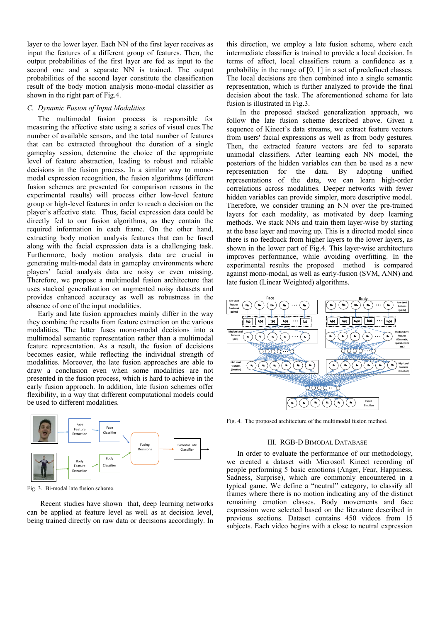layer to the lower layer. Each NN of the first layer receives as input the features of a different group of features. Then, the output probabilities of the first layer are fed as input to the second one and a separate NN is trained. The output probabilities of the second layer constitute the classification result of the body motion analysis mono-modal classifier as shown in the right part of Fig.4.

# *C. Dynamic Fusion of Input Modalities*

The multimodal fusion process is responsible for measuring the affective state using a series of visual cues.Τhe number of available sensors, and the total number of features that can be extracted throughout the duration of a single gameplay session, determine the choice of the appropriate level of feature abstraction, leading to robust and reliable decisions in the fusion process. In a similar way to monomodal expression recognition, the fusion algorithms (different fusion schemes are presented for comparison reasons in the experimental results) will process either low-level feature group or high-level features in order to reach a decision on the player's affective state. Thus, facial expression data could be directly fed to our fusion algorithms, as they contain the required information in each frame. On the other hand, extracting body motion analysis features that can be fused along with the facial expression data is a challenging task. Furthermore, body motion analysis data are crucial in generating multi-modal data in gameplay environments where players' facial analysis data are noisy or even missing. Therefore, we propose a multimodal fusion architecture that uses stacked generalization on augmented noisy datasets and provides enhanced accuracy as well as robustness in the absence of one of the input modalities.

Early and late fusion approaches mainly differ in the way they combine the results from feature extraction on the various modalities. The latter fuses mono-modal decisions into a multimodal semantic representation rather than a multimodal feature representation. As a result, the fusion of decisions becomes easier, while reflecting the individual strength of modalities. Moreover, the late fusion approaches are able to draw a conclusion even when some modalities are not presented in the fusion process, which is hard to achieve in the early fusion approach. In addition, late fusion schemes offer flexibility, in a way that different computational models could be used to different modalities.



Fig. 3. Bi-modal late fusion scheme.

Recent studies have shown that, deep learning networks can be applied at feature level as well as at decision level, being trained directly on raw data or decisions accordingly. In

this direction, we employ a late fusion scheme, where each intermediate classifier is trained to provide a local decision. In terms of affect, local classifiers return a confidence as a probability in the range of [0, 1] in a set of predefined classes. The local decisions are then combined into a single semantic representation, which is further analyzed to provide the final decision about the task. The aforementioned scheme for late fusion is illustrated in Fig.3.

In the proposed stacked generalization approach, we follow the late fusion scheme described above. Given a sequence of Kinect's data streams, we extract feature vectors from users' facial expressions as well as from body gestures. Then, the extracted feature vectors are fed to separate unimodal classifiers. After learning each NN model, the posteriors of the hidden variables can then be used as a new representation for the data. By adopting unified representations of the data, we can learn high-order correlations across modalities. Deeper networks with fewer hidden variables can provide simpler, more descriptive model. Therefore, we consider training an NN over the pre-trained layers for each modality, as motivated by deep learning methods. We stack NNs and train them layer-wise by starting at the base layer and moving up. This is a directed model since there is no feedback from higher layers to the lower layers, as shown in the lower part of Fig.4. This layer-wise architecture improves performance, while avoiding overfitting. In the experimental results the proposed method is compared against mono-modal, as well as early-fusion (SVM, ANN) and late fusion (Linear Weighted) algorithms.



Fig. 4. The proposed architecture of the multimodal fusion method.

## III. RGB-D BIMODAL DATABASE

In order to evaluate the performance of our methodology, we created a dataset with Microsoft Kinect recording of people performing 5 basic emotions (Anger, Fear, Happiness, Sadness, Surprise), which are commonly encountered in a typical game. We define a "neutral" category, to classify all frames where there is no motion indicating any of the distinct remaining emotion classes. Body movements and face expression were selected based on the literature described in previous sections. Dataset contains 450 videos from 15 subjects. Each video begins with a close to neutral expression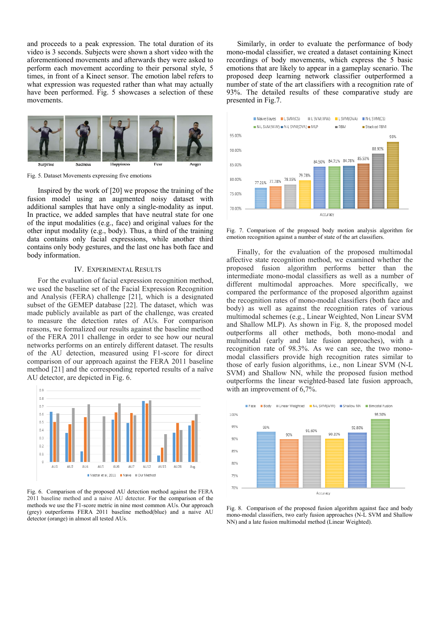and proceeds to a peak expression. The total duration of its video is 3 seconds. Subjects were shown a short video with the aforementioned movements and afterwards they were asked to perform each movement according to their personal style, 5 times, in front of a Kinect sensor. The emotion label refers to what expression was requested rather than what may actually have been performed. Fig. 5 showcases a selection of these movements.



Fig. 5. Dataset Movements expressing five emotions

Inspired by the work of [20] we propose the training of the fusion model using an augmented noisy dataset with additional samples that have only a single-modality as input. In practice, we added samples that have neutral state for one of the input modalities (e.g., face) and original values for the other input modality (e.g., body). Thus, a third of the training data contains only facial expressions, while another third contains only body gestures, and the last one has both face and body information.

### IV. EXPERIMENTAL RESULTS

For the evaluation of facial expression recognition method, we used the baseline set of the Facial Expression Recognition and Analysis (FERA) challenge [21], which is a designated subset of the GEMEP database [22]. The dataset, which was made publicly available as part of the challenge, was created to measure the detection rates of AUs. For comparison reasons, we formalized our results against the baseline method of the FERA 2011 challenge in order to see how our neural networks performs on an entirely different dataset. The results of the AU detection, measured using F1-score for direct comparison of our approach against the FERA 2011 baseline method [21] and the corresponding reported results of a naïve AU detector, are depicted in Fig. 6.



Fig. 6. Comparison of the proposed AU detection method against the FERA 2011 baseline method and a naive AU detector. For the comparison of the methods we use the F1-score metric in nine most common AUs. Our approach (grey) outperforms FERA 2011 baseline method(blue) and a naive AU detector (orange) in almost all tested AUs.

Similarly, in order to evaluate the performance of body mono-modal classifier, we created a dataset containing Kinect recordings of body movements, which express the 5 basic emotions that are likely to appear in a gameplay scenario. The proposed deep learning network classifier outperformed a number of state of the art classifiers with a recognition rate of 93%. The detailed results of these comparative study are presented in Fig.7.



Fig. 7. Comparison of the proposed body motion analysis algorithm for emotion recognition against a number of state of the art classifiers.

Finally, for the evaluation of the proposed multimodal affective state recognition method, we examined whether the proposed fusion algorithm performs better than the intermediate mono-modal classifiers as well as a number of different multimodal approaches. More specifically, we compared the performance of the proposed algorithm against the recognition rates of mono-modal classifiers (both face and body) as well as against the recognition rates of various multimodal schemes (e.g., Linear Weighted, Non Linear SVM and Shallow MLP). As shown in Fig. 8, the proposed model outperforms all other methods, both mono-modal and multimodal (early and late fusion approaches), with a recognition rate of 98.3%. As we can see, the two monomodal classifiers provide high recognition rates similar to those of early fusion algorithms, i.e., non Linear SVM (N-L SVM) and Shallow NN, while the proposed fusion method outperforms the linear weighted-based late fusion approach, with an improvement of 6,7%.



Fig. 8. Comparison of the proposed fusion algorithm against face and body mono-modal classifiers, two early fusion approaches (N-L SVM and Shallow NN) and a late fusion multimodal method (Linear Weighted).